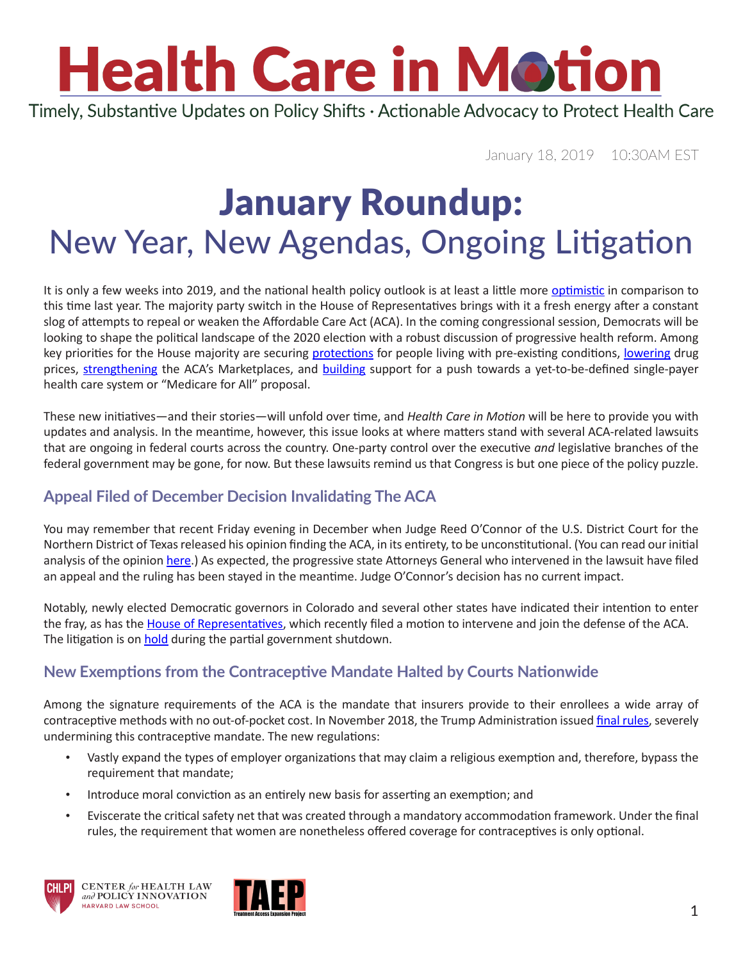# **Health Care in Motion**

Timely, Substantive Updates on Policy Shifts · Actionable Advocacy to Protect Health Care

January 18, 2019 10:30AM EST

### January Roundup: New Year, New Agendas, Ongoing Litigation

It is only a few weeks into 2019, and the national health policy outlook is at least a little more [optimistic](https://www.youtube.com/watch?v=iPUmE-tne5U) in comparison to this time last year. The majority party switch in the House of Representatives brings with it a fresh energy after a constant slog of attempts to repeal or weaken the Affordable Care Act (ACA). In the coming congressional session, Democrats will be looking to shape the political landscape of the 2020 election with a robust discussion of progressive health reform. Among key priorities for the House majority are securing [protections](https://www.rollcall.com/news/congress/democrats-use-vote-health-care-lawsuit-pressure-republicans-pre-existing-conditions) for people living with pre-existing conditions, [lowering](https://www.usatoday.com/story/opinion/2019/01/07/prescription-drugs-cheaper-2019-momentum-change-column/2463125002/) drug prices, [strengthening](https://www.politico.com/story/2019/01/04/house-democrats-obamacare-1060175) the ACA's Marketplaces, and [building](https://www.pbs.org/newshour/economy/making-sense/compare-democrats-many-medicare-for-all-proposals-with-this-chart) support for a push towards a yet-to-be-defined single-payer health care system or "Medicare for All" proposal.

These new initiatives—and their stories—will unfold over time, and *Health Care in Motion* will be here to provide you with updates and analysis. In the meantime, however, this issue looks at where matters stand with several ACA-related lawsuits that are ongoing in federal courts across the country. One-party control over the executive *and* legislative branches of the federal government may be gone, for now. But these lawsuits remind us that Congress is but one piece of the policy puzzle.

### **Appeal Filed of December Decision Invalidating The ACA**

You may remember that recent Friday evening in December when Judge Reed O'Connor of the U.S. District Court for the Northern District of Texas released his opinion finding the ACA, in its entirety, to be unconstitutional. (You can read our initial analysis of the opinion [here](https://www.chlpi.org/wp-content/uploads/2013/12/HCIM_12_17_2018.pdf).) As expected, the progressive state Attorneys General who intervened in the lawsuit have filed an appeal and the ruling has been stayed in the meantime. Judge O'Connor's decision has no current impact.

Notably, newly elected Democratic governors in Colorado and several other states have indicated their intention to enter the fray, as has the [House of Representatives](https://www.speaker.gov/newsroom/1319-2/), which recently filed a motion to intervene and join the defense of the ACA. The litigation is on [hold](https://www.healthaffairs.org/do/10.1377/hblog20190114.458467/full/) during the partial government shutdown.

#### **New Exemptions from the Contraceptive Mandate Halted by Courts Nationwide**

Among the signature requirements of the ACA is the mandate that insurers provide to their enrollees a wide array of contraceptive methods with no out-of-pocket cost. In November 2018, the Trump Administration issued [final rules,](https://www.hhs.gov/about/news/2018/11/07/fact-sheet-final-rules-on-religious-and-moral-exemptions-and-accommodation-for-coverage-of-certain-preventive-services-under-affordable-care-act.html) severely undermining this contraceptive mandate. The new regulations:

- Vastly expand the types of employer organizations that may claim a religious exemption and, therefore, bypass the requirement that mandate;
- Introduce moral conviction as an entirely new basis for asserting an exemption; and
- Eviscerate the critical safety net that was created through a mandatory accommodation framework. Under the final rules, the requirement that women are nonetheless offered coverage for contraceptives is only optional.